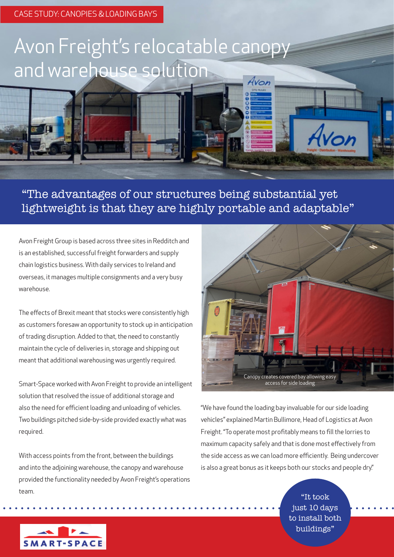## Avon Freight's relocatable canopy and warehouse solution

"The advantages of our structures being substantial yet lightweight is that they are highly portable and adaptable"

Avon Freight Group is based across three sites in Redditch and is an established, successful freight forwarders and supply chain logistics business. With daily services to Ireland and overseas, it manages multiple consignments and a very busy warehouse.

The effects of Brexit meant that stocks were consistently high as customers foresaw an opportunity to stock up in anticipation of trading disruption. Added to that, the need to constantly maintain the cycle of deliveries in, storage and shipping out meant that additional warehousing was urgently required.

Smart-Space worked with Avon Freight to provide an intelligent solution that resolved the issue of additional storage and also the need for efficient loading and unloading of vehicles. Two buildings pitched side-by-side provided exactly what was required.

With access points from the front, between the buildings and into the adjoining warehouse, the canopy and warehouse provided the functionality needed by Avon Freight's operations team.



Avon

"We have found the loading bay invaluable for our side loading vehicles" explained Martin Bullimore, Head of Logistics at Avon Freight. "To operate most profitably means to fill the lorries to maximum capacity safely and that is done most effectively from the side access as we can load more efficiently. Being undercover is also a great bonus as it keeps both our stocks and people dry."

> "It took just 10 days to install both buildings"